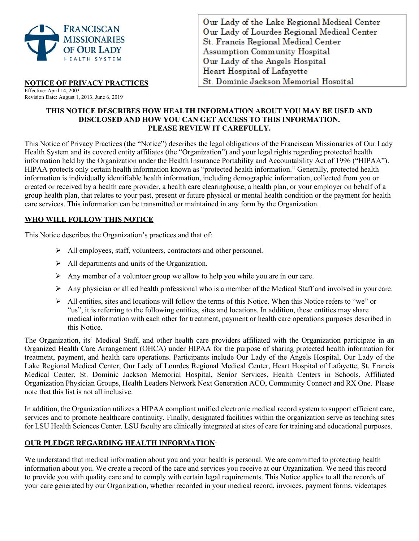

Our Lady of the Lake Regional Medical Center Our Lady of Lourdes Regional Medical Center St. Francis Regional Medical Center **Assumption Community Hospital** Our Lady of the Angels Hospital Heart Hospital of Lafayette St. Dominic Jackson Memorial Hospital

### **NOTICE OF PRIVACY PRACTICES**

Effective: April 14, 2003 Revision Date: August 1, 2013, June 6, 2019

### **THIS NOTICE DESCRIBES HOW HEALTH INFORMATION ABOUT YOU MAY BE USED AND DISCLOSED AND HOW YOU CAN GET ACCESS TO THIS INFORMATION. PLEASE REVIEW IT CAREFULLY.**

This Notice of Privacy Practices (the "Notice") describes the legal obligations of the Franciscan Missionaries of Our Lady Health System and its covered entity affiliates (the "Organization") and your legal rights regarding protected health information held by the Organization under the Health Insurance Portability and Accountability Act of 1996 ("HIPAA"). HIPAA protects only certain health information known as "protected health information." Generally, protected health information is individually identifiable health information, including demographic information, collected from you or created or received by a health care provider, a health care clearinghouse, a health plan, or your employer on behalf of a group health plan, that relates to your past, present or future physical or mental health condition or the payment for health care services. This information can be transmitted or maintained in any form by the Organization.

# **WHO WILL FOLLOW THIS NOTICE**

This Notice describes the Organization's practices and that of:

- $\triangleright$  All employees, staff, volunteers, contractors and other personnel.
- All departments and units of the Organization.
- Any member of a volunteer group we allow to help you while you are in our care.
- Any physician or allied health professional who is a member of the Medical Staff and involved in your care.
- $\triangleright$  All entities, sites and locations will follow the terms of this Notice. When this Notice refers to "we" or "us", it is referring to the following entities, sites and locations. In addition, these entities may share medical information with each other for treatment, payment or health care operations purposes described in this Notice.

The Organization, its' Medical Staff, and other health care providers affiliated with the Organization participate in an Organized Health Care Arrangement (OHCA) under HIPAA for the purpose of sharing protected health information for treatment, payment, and health care operations. Participants include Our Lady of the Angels Hospital, Our Lady of the Lake Regional Medical Center, Our Lady of Lourdes Regional Medical Center, Heart Hospital of Lafayette, St. Francis Medical Center, St. Dominic Jackson Memorial Hospital, Senior Services, Health Centers in Schools, Affiliated Organization Physician Groups, Health Leaders Network Next Generation ACO, Community Connect and RX One. Please note that this list is not all inclusive.

In addition, the Organization utilizes a HIPAA compliant unified electronic medical record system to support efficient care, services and to promote healthcare continuity. Finally, designated facilities within the organization serve as teaching sites for LSU Health Sciences Center. LSU faculty are clinically integrated at sites of care for training and educational purposes.

# **OUR PLEDGE REGARDING HEALTH INFORMATION**:

We understand that medical information about you and your health is personal. We are committed to protecting health information about you. We create a record of the care and services you receive at our Organization. We need this record to provide you with quality care and to comply with certain legal requirements. This Notice applies to all the records of your care generated by our Organization, whether recorded in your medical record, invoices, payment forms, videotapes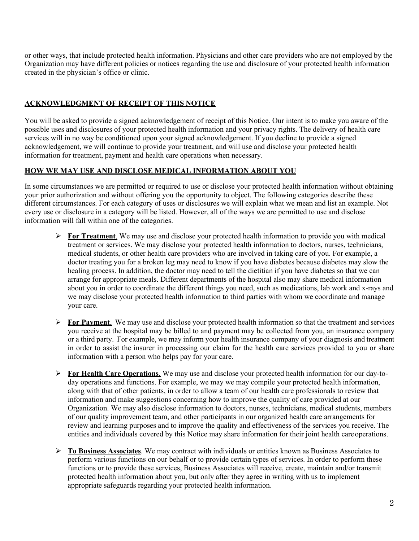or other ways, that include protected health information. Physicians and other care providers who are not employed by the Organization may have different policies or notices regarding the use and disclosure of your protected health information created in the physician's office or clinic.

### **ACKNOWLEDGMENT OF RECEIPT OF THIS NOTICE**

You will be asked to provide a signed acknowledgement of receipt of this Notice. Our intent is to make you aware of the possible uses and disclosures of your protected health information and your privacy rights. The delivery of health care services will in no way be conditioned upon your signed acknowledgement. If you decline to provide a signed acknowledgement, we will continue to provide your treatment, and will use and disclose your protected health information for treatment, payment and health care operations when necessary.

# **HOW WE MAY USE AND DISCLOSE MEDICAL INFORMATION ABOUT YOU**

In some circumstances we are permitted or required to use or disclose your protected health information without obtaining your prior authorization and without offering you the opportunity to object. The following categories describe these different circumstances. For each category of uses or disclosures we will explain what we mean and list an example. Not every use or disclosure in a category will be listed. However, all of the ways we are permitted to use and disclose information will fall within one of the categories.

- **For Treatment**. We may use and disclose your protected health information to provide you with medical treatment or services. We may disclose your protected health information to doctors, nurses, technicians, medical students, or other health care providers who are involved in taking care of you. For example, a doctor treating you for a broken leg may need to know if you have diabetes because diabetes may slow the healing process. In addition, the doctor may need to tell the dietitian if you have diabetes so that we can arrange for appropriate meals. Different departments of the hospital also may share medical information about you in order to coordinate the different things you need, such as medications, lab work and x-rays and we may disclose your protected health information to third parties with whom we coordinate and manage your care.
- **For Payment**. We may use and disclose your protected health information so that the treatment and services you receive at the hospital may be billed to and payment may be collected from you, an insurance company or a third party. For example, we may inform your health insurance company of your diagnosis and treatment in order to assist the insurer in processing our claim for the health care services provided to you or share information with a person who helps pay for your care.
- **For Health Care Operations**. We may use and disclose your protected health information for our day-today operations and functions. For example, we may we may compile your protected health information, along with that of other patients, in order to allow a team of our health care professionals to review that information and make suggestions concerning how to improve the quality of care provided at our Organization. We may also disclose information to doctors, nurses, technicians, medical students, members of our quality improvement team, and other participants in our organized health care arrangements for review and learning purposes and to improve the quality and effectiveness of the services you receive. The entities and individuals covered by this Notice may share information for their joint health careoperations.
- **To Business Associates**. We may contract with individuals or entities known as Business Associates to perform various functions on our behalf or to provide certain types of services. In order to perform these functions or to provide these services, Business Associates will receive, create, maintain and/or transmit protected health information about you, but only after they agree in writing with us to implement appropriate safeguards regarding your protected health information.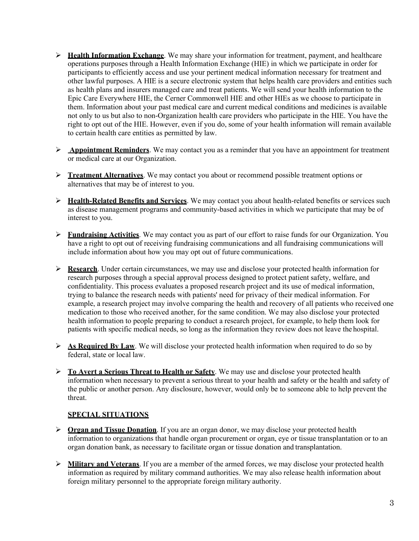- **►** Health Information Exchange. We may share your information for treatment, payment, and healthcare operations purposes through a Health Information Exchange (HIE) in which we participate in order for participants to efficiently access and use your pertinent medical information necessary for treatment and other lawful purposes. A HIE is a secure electronic system that helps health care providers and entities such as health plans and insurers managed care and treat patients. We will send your health information to the Epic Care Everywhere HIE, the Cerner Commonwell HIE and other HIEs as we choose to participate in them. Information about your past medical care and current medical conditions and medicines is available not only to us but also to non-Organization health care providers who participate in the HIE. You have the right to opt out of the HIE. However, even if you do, some of your health information will remain available to certain health care entities as permitted by law.
- **Appointment Reminders**. We may contact you as a reminder that you have an appointment for treatment or medical care at our Organization.
- **Treatment Alternatives**. We may contact you about or recommend possible treatment options or alternatives that may be of interest to you.
- **Health-Related Benefits and Services**. We may contact you about health-related benefits or services such as disease management programs and community-based activities in which we participate that may be of interest to you.
- **Fundraising Activities**. We may contact you as part of our effort to raise funds for our Organization. You have a right to opt out of receiving fundraising communications and all fundraising communications will include information about how you may opt out of future communications.
- **Research.** Under certain circumstances, we may use and disclose your protected health information for research purposes through a special approval process designed to protect patient safety, welfare, and confidentiality. This process evaluates a proposed research project and its use of medical information, trying to balance the research needs with patients' need for privacy of their medical information. For example, a research project may involve comparing the health and recovery of all patients who received one medication to those who received another, for the same condition. We may also disclose your protected health information to people preparing to conduct a research project, for example, to help them look for patients with specific medical needs, so long as the information they review does not leave the hospital.
- **As Required By Law.** We will disclose your protected health information when required to do so by federal, state or local law.
- **To Avert a Serious Threat to Health or Safety**. We may use and disclose your protected health information when necessary to prevent a serious threat to your health and safety or the health and safety of the public or another person. Any disclosure, however, would only be to someone able to help prevent the threat.

#### **SPECIAL SITUATIONS**

- **Organ and Tissue Donation**. If you are an organ donor, we may disclose your protected health information to organizations that handle organ procurement or organ, eye or tissue transplantation or to an organ donation bank, as necessary to facilitate organ or tissue donation and transplantation.
- **Military and Veterans**. If you are a member of the armed forces, we may disclose your protected health information as required by military command authorities. We may also release health information about foreign military personnel to the appropriate foreign military authority.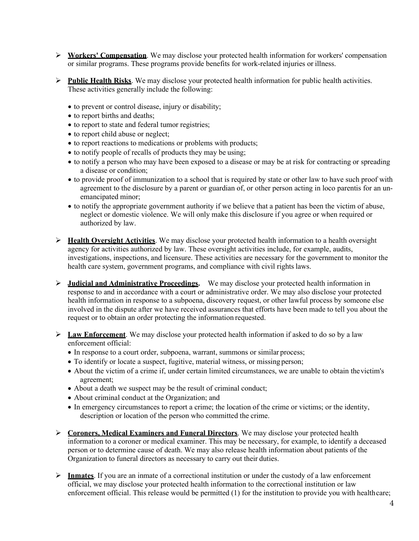- **Workers' Compensation**. We may disclose your protected health information for workers' compensation or similar programs. These programs provide benefits for work-related injuries or illness.
- **Public Health Risks**. We may disclose your protected health information for public health activities. These activities generally include the following:
	- to prevent or control disease, injury or disability;
	- to report births and deaths;
	- to report to state and federal tumor registries;
	- to report child abuse or neglect;
	- to report reactions to medications or problems with products;
	- to notify people of recalls of products they may be using;
	- to notify a person who may have been exposed to a disease or may be at risk for contracting or spreading a disease or condition;
	- to provide proof of immunization to a school that is required by state or other law to have such proof with agreement to the disclosure by a parent or guardian of, or other person acting in loco parentis for an unemancipated minor;
	- to notify the appropriate government authority if we believe that a patient has been the victim of abuse, neglect or domestic violence. We will only make this disclosure if you agree or when required or authorized by law.
- **Health Oversight Activities**. We may disclose your protected health information to a health oversight agency for activities authorized by law. These oversight activities include, for example, audits, investigations, inspections, and licensure. These activities are necessary for the government to monitor the health care system, government programs, and compliance with civil rights laws.
- **Judicial and Administrative Proceedings.** We may disclose your protected health information in response to and in accordance with a court or administrative order. We may also disclose your protected health information in response to a subpoena, discovery request, or other lawful process by someone else involved in the dispute after we have received assurances that efforts have been made to tell you about the request or to obtain an order protecting the information requested.
- **Law Enforcement**. We may disclose your protected health information if asked to do so by a law enforcement official:
	- In response to a court order, subpoena, warrant, summons or similar process;
	- To identify or locate a suspect, fugitive, material witness, or missing person;
	- About the victim of a crime if, under certain limited circumstances, we are unable to obtain thevictim's agreement;
	- About a death we suspect may be the result of criminal conduct;
	- About criminal conduct at the Organization; and
	- In emergency circumstances to report a crime; the location of the crime or victims; or the identity, description or location of the person who committed the crime.
- **Coroners, Medical Examiners and Funeral Directors**. We may disclose your protected health information to a coroner or medical examiner. This may be necessary, for example, to identify a deceased person or to determine cause of death. We may also release health information about patients of the Organization to funeral directors as necessary to carry out their duties.
- **Inmates**. If you are an inmate of a correctional institution or under the custody of a law enforcement official, we may disclose your protected health information to the correctional institution or law enforcement official. This release would be permitted (1) for the institution to provide you with healthcare;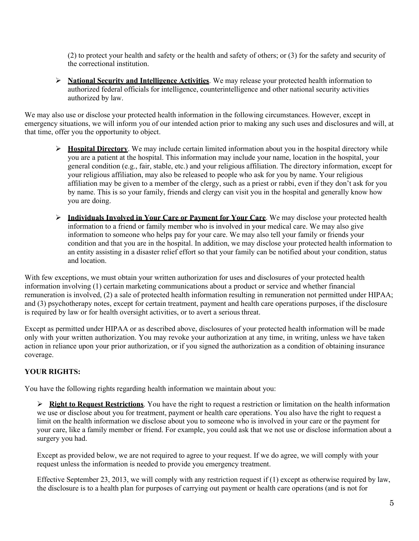(2) to protect your health and safety or the health and safety of others; or (3) for the safety and security of the correctional institution.

 **National Security and Intelligence Activities**. We may release your protected health information to authorized federal officials for intelligence, counterintelligence and other national security activities authorized by law.

We may also use or disclose your protected health information in the following circumstances. However, except in emergency situations, we will inform you of our intended action prior to making any such uses and disclosures and will, at that time, offer you the opportunity to object.

- $\triangleright$  **Hospital Directory**. We may include certain limited information about you in the hospital directory while you are a patient at the hospital. This information may include your name, location in the hospital, your general condition (e.g., fair, stable, etc.) and your religious affiliation. The directory information, except for your religious affiliation, may also be released to people who ask for you by name. Your religious affiliation may be given to a member of the clergy, such as a priest or rabbi, even if they don't ask for you by name. This is so your family, friends and clergy can visit you in the hospital and generally know how you are doing.
- **Individuals Involved in Your Care or Payment for Your Care**. We may disclose your protected health information to a friend or family member who is involved in your medical care. We may also give information to someone who helps pay for your care. We may also tell your family or friends your condition and that you are in the hospital. In addition, we may disclose your protected health information to an entity assisting in a disaster relief effort so that your family can be notified about your condition, status and location.

With few exceptions, we must obtain your written authorization for uses and disclosures of your protected health information involving (1) certain marketing communications about a product or service and whether financial remuneration is involved, (2) a sale of protected health information resulting in remuneration not permitted under HIPAA; and (3) psychotherapy notes, except for certain treatment, payment and health care operations purposes, if the disclosure is required by law or for health oversight activities, or to avert a serious threat.

Except as permitted under HIPAA or as described above, disclosures of your protected health information will be made only with your written authorization. You may revoke your authorization at any time, in writing, unless we have taken action in reliance upon your prior authorization, or if you signed the authorization as a condition of obtaining insurance coverage.

# **YOUR RIGHTS:**

You have the following rights regarding health information we maintain about you:

 **Right to Request Restrictions**. You have the right to request a restriction or limitation on the health information we use or disclose about you for treatment, payment or health care operations. You also have the right to request a limit on the health information we disclose about you to someone who is involved in your care or the payment for your care, like a family member or friend. For example, you could ask that we not use or disclose information about a surgery you had.

Except as provided below, we are not required to agree to your request. If we do agree, we will comply with your request unless the information is needed to provide you emergency treatment.

Effective September 23, 2013, we will comply with any restriction request if (1) except as otherwise required by law, the disclosure is to a health plan for purposes of carrying out payment or health care operations (and is not for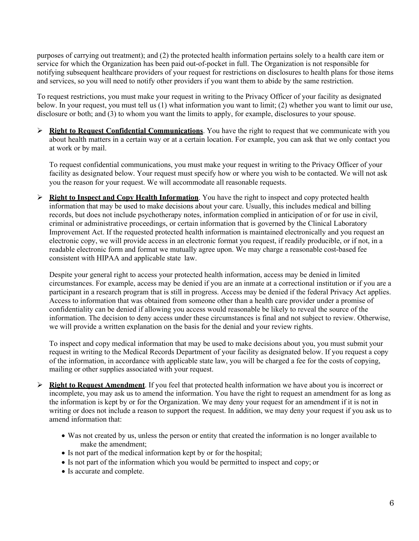purposes of carrying out treatment); and (2) the protected health information pertains solely to a health care item or service for which the Organization has been paid out-of-pocket in full. The Organization is not responsible for notifying subsequent healthcare providers of your request for restrictions on disclosures to health plans for those items and services, so you will need to notify other providers if you want them to abide by the same restriction.

To request restrictions, you must make your request in writing to the Privacy Officer of your facility as designated below. In your request, you must tell us (1) what information you want to limit; (2) whether you want to limit our use, disclosure or both; and (3) to whom you want the limits to apply, for example, disclosures to your spouse.

 **Right to Request Confidential Communications**. You have the right to request that we communicate with you about health matters in a certain way or at a certain location. For example, you can ask that we only contact you at work or by mail.

To request confidential communications, you must make your request in writing to the Privacy Officer of your facility as designated below. Your request must specify how or where you wish to be contacted. We will not ask you the reason for your request. We will accommodate all reasonable requests.

 **Right to Inspect and Copy Health Information**. You have the right to inspect and copy protected health information that may be used to make decisions about your care. Usually, this includes medical and billing records, but does not include psychotherapy notes, information complied in anticipation of or for use in civil, criminal or administrative proceedings, or certain information that is governed by the Clinical Laboratory Improvement Act. If the requested protected health information is maintained electronically and you request an electronic copy, we will provide access in an electronic format you request, if readily producible, or if not, in a readable electronic form and format we mutually agree upon. We may charge a reasonable cost-based fee consistent with HIPAA and applicable state law.

Despite your general right to access your protected health information, access may be denied in limited circumstances. For example, access may be denied if you are an inmate at a correctional institution or if you are a participant in a research program that is still in progress. Access may be denied if the federal Privacy Act applies. Access to information that was obtained from someone other than a health care provider under a promise of confidentiality can be denied if allowing you access would reasonable be likely to reveal the source of the information. The decision to deny access under these circumstances is final and not subject to review. Otherwise, we will provide a written explanation on the basis for the denial and your review rights.

To inspect and copy medical information that may be used to make decisions about you, you must submit your request in writing to the Medical Records Department of your facility as designated below. If you request a copy of the information, in accordance with applicable state law, you will be charged a fee for the costs of copying, mailing or other supplies associated with your request.

- **Right to Request Amendment**. If you feel that protected health information we have about you is incorrect or incomplete, you may ask us to amend the information. You have the right to request an amendment for as long as the information is kept by or for the Organization. We may deny your request for an amendment if it is not in writing or does not include a reason to support the request. In addition, we may deny your request if you ask us to amend information that:
	- Was not created by us, unless the person or entity that created the information is no longer available to make the amendment;
	- Is not part of the medical information kept by or for the hospital;
	- Is not part of the information which you would be permitted to inspect and copy; or
	- Is accurate and complete.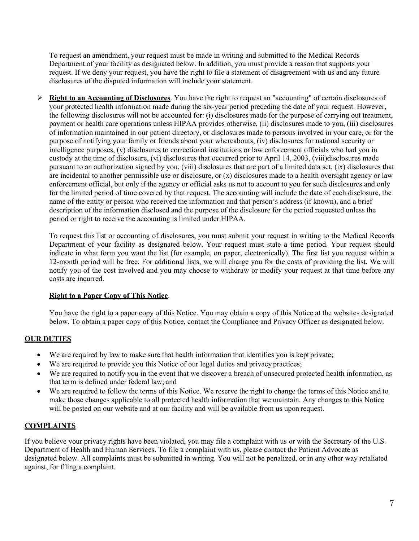To request an amendment, your request must be made in writing and submitted to the Medical Records Department of your facility as designated below. In addition, you must provide a reason that supports your request. If we deny your request, you have the right to file a statement of disagreement with us and any future disclosures of the disputed information will include your statement.

 **Right to an Accounting of Disclosures**. You have the right to request an "accounting" of certain disclosures of your protected health information made during the six-year period preceding the date of your request. However, the following disclosures will not be accounted for: (i) disclosures made for the purpose of carrying out treatment, payment or health care operations unless HIPAA provides otherwise, (ii) disclosures made to you, (iii) disclosures of information maintained in our patient directory, or disclosures made to persons involved in your care, or for the purpose of notifying your family or friends about your whereabouts, (iv) disclosures for national security or intelligence purposes, (v) disclosures to correctional institutions or law enforcement officials who had you in custody at the time of disclosure, (vi) disclosures that occurred prior to April 14, 2003, (viii)disclosures made pursuant to an authorization signed by you, (viii) disclosures that are part of a limited data set, (ix) disclosures that are incidental to another permissible use or disclosure, or  $(x)$  disclosures made to a health oversight agency or law enforcement official, but only if the agency or official asks us not to account to you for such disclosures and only for the limited period of time covered by that request. The accounting will include the date of each disclosure, the name of the entity or person who received the information and that person's address (if known), and a brief description of the information disclosed and the purpose of the disclosure for the period requested unless the period or right to receive the accounting is limited under HIPAA.

To request this list or accounting of disclosures, you must submit your request in writing to the Medical Records Department of your facility as designated below. Your request must state a time period. Your request should indicate in what form you want the list (for example, on paper, electronically). The first list you request within a 12-month period will be free. For additional lists, we will charge you for the costs of providing the list. We will notify you of the cost involved and you may choose to withdraw or modify your request at that time before any costs are incurred.

#### **Right to a Paper Copy of This Notice**.

You have the right to a paper copy of this Notice. You may obtain a copy of this Notice at the websites designated below. To obtain a paper copy of this Notice, contact the Compliance and Privacy Officer as designated below.

# **OUR DUTIES**

- We are required by law to make sure that health information that identifies you is kept private;
- We are required to provide you this Notice of our legal duties and privacy practices;
- We are required to notify you in the event that we discover a breach of unsecured protected health information, as that term is defined under federal law; and
- We are required to follow the terms of this Notice. We reserve the right to change the terms of this Notice and to make those changes applicable to all protected health information that we maintain. Any changes to this Notice will be posted on our website and at our facility and will be available from us upon request.

# **COMPLAINTS**

If you believe your privacy rights have been violated, you may file a complaint with us or with the Secretary of the U.S. Department of Health and Human Services. To file a complaint with us, please contact the Patient Advocate as designated below. All complaints must be submitted in writing. You will not be penalized, or in any other way retaliated against, for filing a complaint.